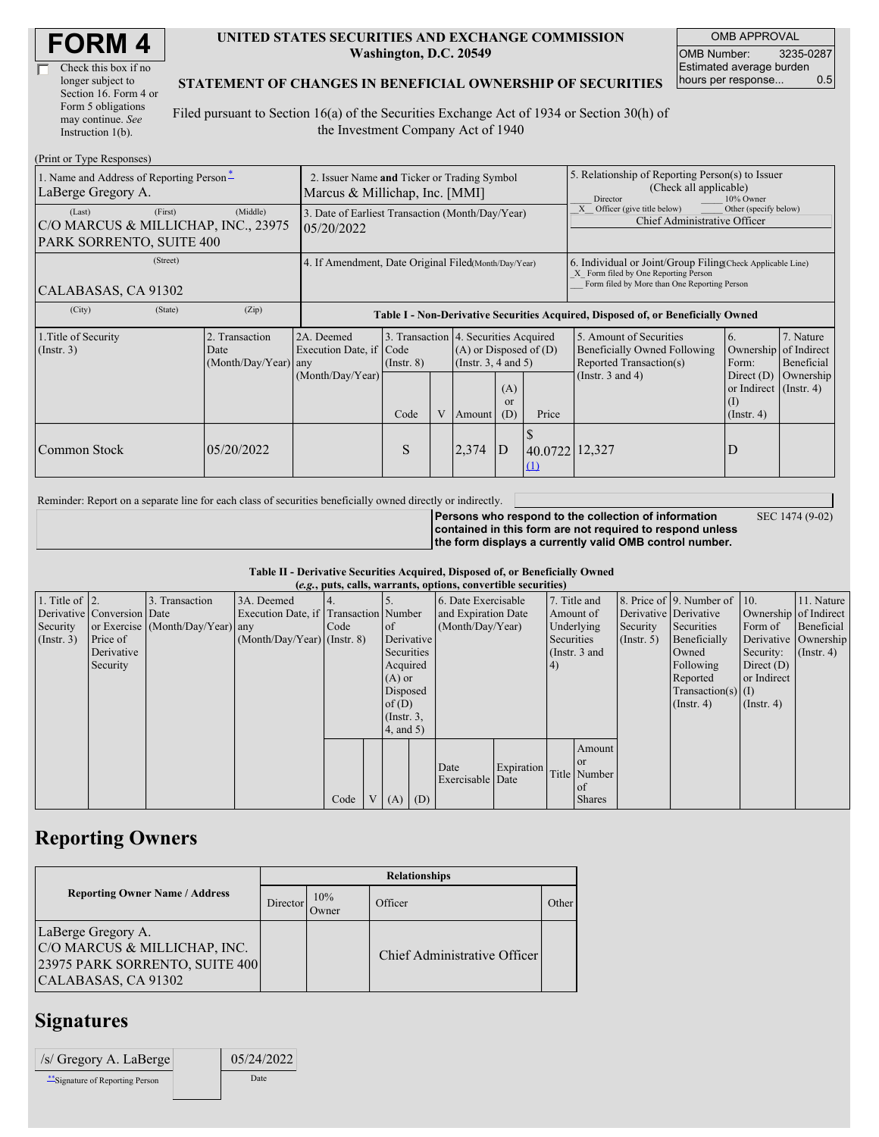| Check this box if no  |  |
|-----------------------|--|
| longer subject to     |  |
| Section 16. Form 4 or |  |
| Form 5 obligations    |  |
| may continue. See     |  |
| Instruction 1(b).     |  |

#### **UNITED STATES SECURITIES AND EXCHANGE COMMISSION Washington, D.C. 20549**

OMB APPROVAL OMB Number: 3235-0287 Estimated average burden hours per response... 0.5

### **STATEMENT OF CHANGES IN BENEFICIAL OWNERSHIP OF SECURITIES**

Filed pursuant to Section 16(a) of the Securities Exchange Act of 1934 or Section 30(h) of the Investment Company Act of 1940

| (Print or Type Responses)                                                            |                                                                               |                                                                                  |                         |   |                                                                                             |                                                                                                                                                    |                                                                                                            |                                                                                                             |                                                         |                                                     |
|--------------------------------------------------------------------------------------|-------------------------------------------------------------------------------|----------------------------------------------------------------------------------|-------------------------|---|---------------------------------------------------------------------------------------------|----------------------------------------------------------------------------------------------------------------------------------------------------|------------------------------------------------------------------------------------------------------------|-------------------------------------------------------------------------------------------------------------|---------------------------------------------------------|-----------------------------------------------------|
| 1. Name and Address of Reporting Person-<br>LaBerge Gregory A.                       | 2. Issuer Name and Ticker or Trading Symbol<br>Marcus & Millichap, Inc. [MMI] |                                                                                  |                         |   |                                                                                             |                                                                                                                                                    | 5. Relationship of Reporting Person(s) to Issuer<br>(Check all applicable)<br><b>Director</b><br>10% Owner |                                                                                                             |                                                         |                                                     |
| (First)<br>(Last)<br>C/O MARCUS & MILLICHAP, INC., 23975<br>PARK SORRENTO, SUITE 400 | (Middle)                                                                      | 3. Date of Earliest Transaction (Month/Day/Year)<br>05/20/2022                   |                         |   |                                                                                             |                                                                                                                                                    | Officer (give title below)<br>Other (specify below)<br>Chief Administrative Officer                        |                                                                                                             |                                                         |                                                     |
| (Street)<br>CALABASAS, CA 91302                                                      | 4. If Amendment, Date Original Filed(Month/Day/Year)                          |                                                                                  |                         |   |                                                                                             | 6. Individual or Joint/Group Filing Check Applicable Line)<br>X Form filed by One Reporting Person<br>Form filed by More than One Reporting Person |                                                                                                            |                                                                                                             |                                                         |                                                     |
| (City)<br>(State)                                                                    | (Zip)                                                                         | Table I - Non-Derivative Securities Acquired, Disposed of, or Beneficially Owned |                         |   |                                                                                             |                                                                                                                                                    |                                                                                                            |                                                                                                             |                                                         |                                                     |
| 1. Title of Security<br>(Insert. 3)                                                  | 2. Transaction<br>Date<br>(Month/Day/Year) any                                | 2A. Deemed<br>Execution Date, if<br>(Month/Day/Year)                             | Code<br>$($ Instr. $8)$ |   | 3. Transaction 4. Securities Acquired<br>$(A)$ or Disposed of $(D)$<br>(Insert. 3, 4 and 5) |                                                                                                                                                    |                                                                                                            | 5. Amount of Securities<br>Beneficially Owned Following<br>Reported Transaction(s)<br>(Instr. $3$ and $4$ ) | 6.<br>Ownership<br>Form:<br>Direct $(D)$                | 7. Nature<br>of Indirect<br>Beneficial<br>Ownership |
|                                                                                      |                                                                               |                                                                                  | Code                    | V | Amount                                                                                      | (A)<br>$\alpha$<br>(D)                                                                                                                             | Price                                                                                                      |                                                                                                             | or Indirect $($ Instr. 4 $)$<br>(1)<br>$($ Instr. 4 $)$ |                                                     |
| Common Stock                                                                         | 05/20/2022                                                                    |                                                                                  | S                       |   | 2,374                                                                                       | D                                                                                                                                                  | 40.0722 12,327<br>$\Omega$                                                                                 |                                                                                                             | D                                                       |                                                     |

Reminder: Report on a separate line for each class of securities beneficially owned directly or indirectly.

**Persons who respond to the collection of information contained in this form are not required to respond unless the form displays a currently valid OMB control number.** SEC 1474 (9-02)

**Table II - Derivative Securities Acquired, Disposed of, or Beneficially Owned (***e.g.***, puts, calls, warrants, options, convertible securities)**

| 11. Nature<br>Ownership of Indirect<br>Beneficial            |
|--------------------------------------------------------------|
|                                                              |
|                                                              |
|                                                              |
| Derivative Ownership                                         |
| $($ Instr. 4)                                                |
|                                                              |
|                                                              |
|                                                              |
|                                                              |
|                                                              |
|                                                              |
|                                                              |
|                                                              |
|                                                              |
|                                                              |
|                                                              |
| Security:<br>Direct $(D)$<br>or Indirect<br>$($ Instr. 4 $)$ |

### **Reporting Owners**

|  | <b>Reporting Owner Name / Address</b>                                                                       | <b>Relationships</b> |                      |                              |       |  |  |
|--|-------------------------------------------------------------------------------------------------------------|----------------------|----------------------|------------------------------|-------|--|--|
|  |                                                                                                             | Director             | 10%<br><b>J</b> wner | Officer                      | Other |  |  |
|  | LaBerge Gregory A.<br>C/O MARCUS & MILLICHAP, INC.<br>23975 PARK SORRENTO, SUITE 400<br>CALABASAS, CA 91302 |                      |                      | Chief Administrative Officer |       |  |  |

## **Signatures**

| /s/ Gregory A. LaBerge         | 05/24/2022 |
|--------------------------------|------------|
| "Signature of Reporting Person | Date       |